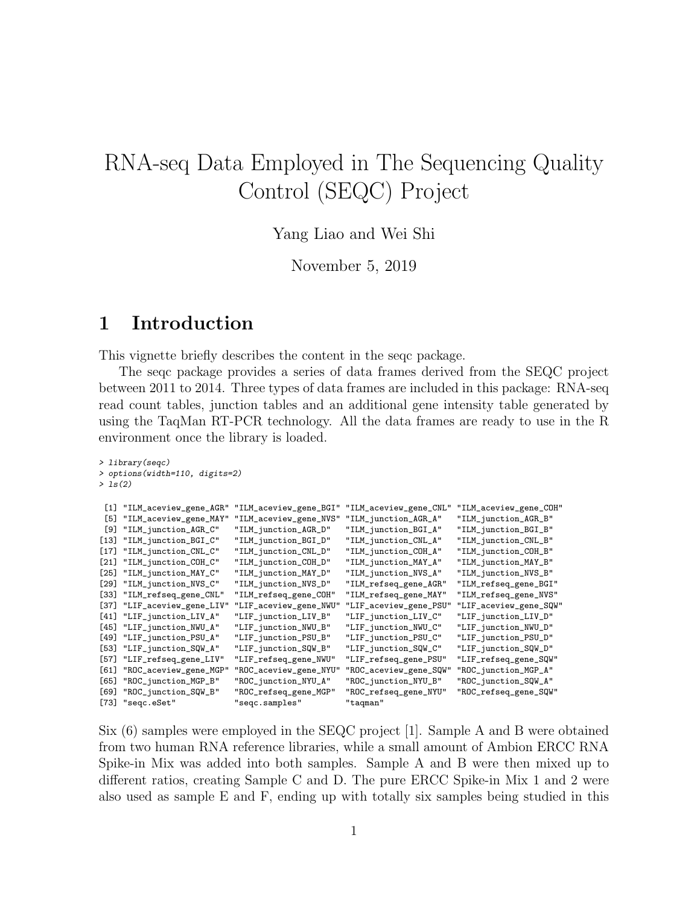# RNA-seq Data Employed in The Sequencing Quality Control (SEQC) Project

Yang Liao and Wei Shi

November 5, 2019

#### 1 Introduction

This vignette briefly describes the content in the seqc package.

The seqc package provides a series of data frames derived from the SEQC project between 2011 to 2014. Three types of data frames are included in this package: RNA-seq read count tables, junction tables and an additional gene intensity table generated by using the TaqMan RT-PCR technology. All the data frames are ready to use in the R environment once the library is loaded.

|         | $> 1$ ibrary(seqc)             |                        |                        |                        |
|---------|--------------------------------|------------------------|------------------------|------------------------|
|         | > options(width=110, digits=2) |                        |                        |                        |
| > 1s(2) |                                |                        |                        |                        |
|         |                                |                        |                        |                        |
| [1]     | "ILM_aceview_gene_AGR"         | "ILM_aceview_gene_BGI" | "ILM_aceview_gene_CNL" | "ILM_aceview_gene_COH" |
| [5]     | "ILM_aceview_gene_MAY"         | "ILM_aceview_gene_NVS" | "ILM_junction_AGR_A"   | "ILM_junction_AGR_B"   |
| [9]     | "ILM_junction_AGR_C"           | "ILM_junction_AGR_D"   | "ILM_junction_BGI_A"   | "ILM_junction_BGI_B"   |
| $[13]$  | "ILM_junction_BGI_C"           | "ILM_junction_BGI_D"   | "ILM_junction_CNL_A"   | "ILM_junction_CNL_B"   |
| $[17]$  | "ILM_junction_CNL_C"           | "ILM_junction_CNL_D"   | "ILM_junction_COH_A"   | "ILM_junction_COH_B"   |
| $[21]$  | "ILM_junction_COH_C"           | "ILM_junction_COH_D"   | "ILM_junction_MAY_A"   | "ILM_junction_MAY_B"   |
| $[25]$  | "ILM_junction_MAY_C"           | "ILM_junction_MAY_D"   | "ILM_junction_NVS_A"   | "ILM_junction_NVS_B"   |
| [29]    | "ILM_junction_NVS_C"           | "ILM_junction_NVS_D"   | "ILM_refseq_gene_AGR"  | "ILM_refseq_gene_BGI"  |
| [33]    | "ILM_refseq_gene_CNL"          | "ILM_refseq_gene_COH"  | "ILM_refseq_gene_MAY"  | "ILM_refseq_gene_NVS"  |
| [37]    | "LIF_aceview_gene_LIV"         | "LIF_aceview_gene_NWU" | "LIF_aceview_gene_PSU" | "LIF_aceview_gene_SQW" |
| $[41]$  | "LIF_junction_LIV_A"           | "LIF_junction_LIV_B"   | "LIF_junction_LIV_C"   | "LIF_junction_LIV_D"   |
| [45]    | "LIF_junction_NWU_A"           | "LIF_junction_NWU_B"   | "LIF_junction_NWU_C"   | "LIF_junction_NWU_D"   |
| [49]    | "LIF_junction_PSU_A"           | "LIF_junction_PSU_B"   | "LIF_junction_PSU_C"   | "LIF_junction_PSU_D"   |
| [53]    | "LIF_junction_SQW_A"           | "LIF_junction_SQW_B"   | "LIF_junction_SQW_C"   | "LIF_junction_SQW_D"   |
| [57]    | "LIF_refseq_gene_LIV"          | "LIF_refseq_gene_NWU"  | "LIF_refseq_gene_PSU"  | "LIF_refseq_gene_SQW"  |
| [61]    | "ROC_aceview_gene_MGP"         | "ROC_aceview_gene_NYU" | "ROC_aceview_gene_SQW" | "ROC_junction_MGP_A"   |
| [65]    | "ROC_junction_MGP_B"           | "ROC_junction_NYU_A"   | "ROC_junction_NYU_B"   | "ROC_junction_SQW_A"   |
| [69]    | "ROC_junction_SQW_B"           | "ROC_refseq_gene_MGP"  | "ROC_refseq_gene_NYU"  | "ROC_refseq_gene_SQW"  |
|         | [73] "seqc.eSet"               | "seqc.samples"         | "taqman"               |                        |

Six (6) samples were employed in the SEQC project [1]. Sample A and B were obtained from two human RNA reference libraries, while a small amount of Ambion ERCC RNA Spike-in Mix was added into both samples. Sample A and B were then mixed up to different ratios, creating Sample C and D. The pure ERCC Spike-in Mix 1 and 2 were also used as sample E and F, ending up with totally six samples being studied in this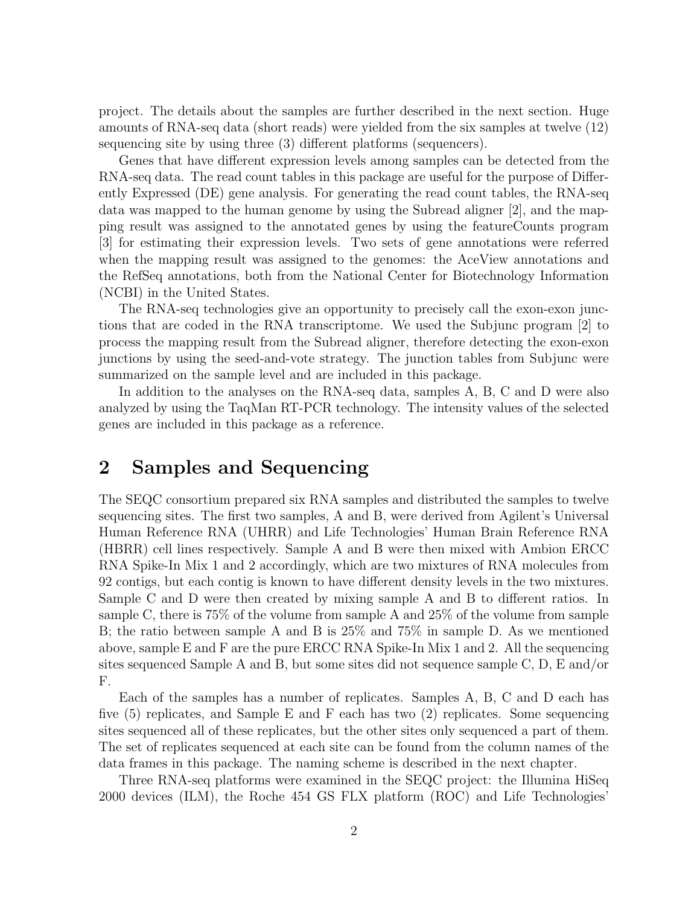project. The details about the samples are further described in the next section. Huge amounts of RNA-seq data (short reads) were yielded from the six samples at twelve (12) sequencing site by using three (3) different platforms (sequencers).

Genes that have different expression levels among samples can be detected from the RNA-seq data. The read count tables in this package are useful for the purpose of Differently Expressed (DE) gene analysis. For generating the read count tables, the RNA-seq data was mapped to the human genome by using the Subread aligner [2], and the mapping result was assigned to the annotated genes by using the featureCounts program [3] for estimating their expression levels. Two sets of gene annotations were referred when the mapping result was assigned to the genomes: the AceView annotations and the RefSeq annotations, both from the National Center for Biotechnology Information (NCBI) in the United States.

The RNA-seq technologies give an opportunity to precisely call the exon-exon junctions that are coded in the RNA transcriptome. We used the Subjunc program [2] to process the mapping result from the Subread aligner, therefore detecting the exon-exon junctions by using the seed-and-vote strategy. The junction tables from Subjunc were summarized on the sample level and are included in this package.

In addition to the analyses on the RNA-seq data, samples A, B, C and D were also analyzed by using the TaqMan RT-PCR technology. The intensity values of the selected genes are included in this package as a reference.

#### 2 Samples and Sequencing

The SEQC consortium prepared six RNA samples and distributed the samples to twelve sequencing sites. The first two samples, A and B, were derived from Agilent's Universal Human Reference RNA (UHRR) and Life Technologies' Human Brain Reference RNA (HBRR) cell lines respectively. Sample A and B were then mixed with Ambion ERCC RNA Spike-In Mix 1 and 2 accordingly, which are two mixtures of RNA molecules from 92 contigs, but each contig is known to have different density levels in the two mixtures. Sample C and D were then created by mixing sample A and B to different ratios. In sample C, there is 75% of the volume from sample A and 25% of the volume from sample B; the ratio between sample A and B is 25% and 75% in sample D. As we mentioned above, sample E and F are the pure ERCC RNA Spike-In Mix 1 and 2. All the sequencing sites sequenced Sample A and B, but some sites did not sequence sample C, D, E and/or F.

Each of the samples has a number of replicates. Samples A, B, C and D each has five (5) replicates, and Sample E and F each has two (2) replicates. Some sequencing sites sequenced all of these replicates, but the other sites only sequenced a part of them. The set of replicates sequenced at each site can be found from the column names of the data frames in this package. The naming scheme is described in the next chapter.

Three RNA-seq platforms were examined in the SEQC project: the Illumina HiSeq 2000 devices (ILM), the Roche 454 GS FLX platform (ROC) and Life Technologies'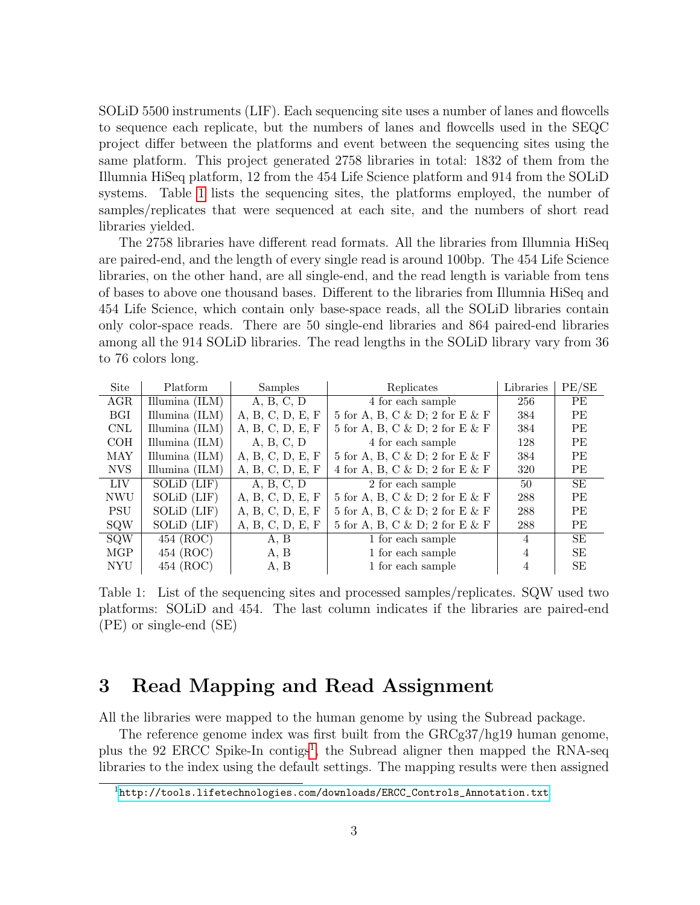SOLiD 5500 instruments (LIF). Each sequencing site uses a number of lanes and flowcells to sequence each replicate, but the numbers of lanes and flowcells used in the SEQC project differ between the platforms and event between the sequencing sites using the same platform. This project generated 2758 libraries in total: 1832 of them from the Illumnia HiSeq platform, 12 from the 454 Life Science platform and 914 from the SOLiD systems. Table [1](#page-2-0) lists the sequencing sites, the platforms employed, the number of samples/replicates that were sequenced at each site, and the numbers of short read libraries yielded.

The 2758 libraries have different read formats. All the libraries from Illumnia HiSeq are paired-end, and the length of every single read is around 100bp. The 454 Life Science libraries, on the other hand, are all single-end, and the read length is variable from tens of bases to above one thousand bases. Different to the libraries from Illumnia HiSeq and 454 Life Science, which contain only base-space reads, all the SOLiD libraries contain only color-space reads. There are 50 single-end libraries and 864 paired-end libraries among all the 914 SOLiD libraries. The read lengths in the SOLiD library vary from 36 to 76 colors long.

| Site       | Platform         | Samples          | Replicates                     | Libraries | PE/SE     |
|------------|------------------|------------------|--------------------------------|-----------|-----------|
| AGR        | Illumina (ILM)   | A, B, C, D       | 4 for each sample              | 256       | <b>PE</b> |
| <b>BGI</b> | Illumina $(ILM)$ | A, B, C, D, E, F | 5 for A, B, C & D; 2 for E & F | 384       | <b>PE</b> |
| <b>CNL</b> | Illumina $(ILM)$ | A, B, C, D, E, F | 5 for A, B, C & D; 2 for E & F | 384       | <b>PE</b> |
| COH        | Illumina $(ILM)$ | A, B, C, D       | 4 for each sample              | 128       | <b>PE</b> |
| MAY        | Illumina $(ILM)$ | A, B, C, D, E, F | 5 for A, B, C & D; 2 for E & F | 384       | <b>PE</b> |
| <b>NVS</b> | Illumina $(ILM)$ | A, B, C, D, E, F | 4 for A, B, C & D; 2 for E & F | 320       | <b>PE</b> |
| <b>LIV</b> | SOLiD (LIF)      | A, B, C, D       | 2 for each sample              | 50        | <b>SE</b> |
| <b>NWU</b> | SOLiD (LIF)      | A, B, C, D, E, F | 5 for A, B, C & D; 2 for E & F | 288       | <b>PE</b> |
| <b>PSU</b> | SOLiD (LIF)      | A, B, C, D, E, F | 5 for A, B, C & D; 2 for E & F | 288       | <b>PE</b> |
| <b>SQW</b> | SOLiD (LIF)      | A, B, C, D, E, F | 5 for A, B, C & D; 2 for E & F | 288       | <b>PE</b> |
| <b>SQW</b> | 454 (ROC)        | A, B             | 1 for each sample              | 4         | <b>SE</b> |
| MGP        | 454 (ROC)        | A, B             | 1 for each sample              | 4         | <b>SE</b> |
| <b>NYU</b> | 454 (ROC)        | A, B             | 1 for each sample              | 4         | SE        |

<span id="page-2-0"></span>Table 1: List of the sequencing sites and processed samples/replicates. SQW used two platforms: SOLiD and 454. The last column indicates if the libraries are paired-end (PE) or single-end (SE)

#### 3 Read Mapping and Read Assignment

All the libraries were mapped to the human genome by using the Subread package.

The reference genome index was first built from the GRCg37/hg19 human genome, plus the 92 ERCC Spike-In contigs<sup>[1](#page-2-1)</sup>, the Subread aligner then mapped the RNA-seq libraries to the index using the default settings. The mapping results were then assigned

<span id="page-2-1"></span><sup>1</sup>[http://tools.lifetechnologies.com/downloads/ERCC\\_Controls\\_Annotation.txt](http://tools.lifetechnologies.com/downloads/ERCC_Controls_Annotation.txt)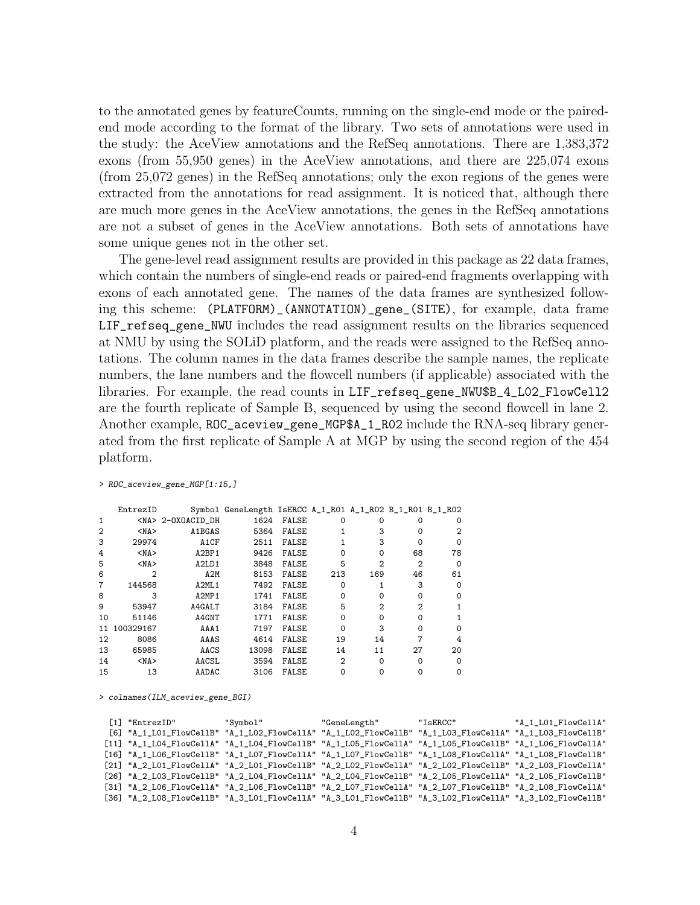to the annotated genes by featureCounts, running on the single-end mode or the pairedend mode according to the format of the library. Two sets of annotations were used in the study: the AceView annotations and the RefSeq annotations. There are 1,383,372 exons (from 55,950 genes) in the AceView annotations, and there are 225,074 exons (from 25,072 genes) in the RefSeq annotations; only the exon regions of the genes were extracted from the annotations for read assignment. It is noticed that, although there are much more genes in the AceView annotations, the genes in the RefSeq annotations are not a subset of genes in the AceView annotations. Both sets of annotations have some unique genes not in the other set.

The gene-level read assignment results are provided in this package as 22 data frames, which contain the numbers of single-end reads or paired-end fragments overlapping with exons of each annotated gene. The names of the data frames are synthesized following this scheme: (PLATFORM)\_(ANNOTATION)\_gene\_(SITE), for example, data frame LIF\_refseq\_gene\_NWU includes the read assignment results on the libraries sequenced at NMU by using the SOLiD platform, and the reads were assigned to the RefSeq annotations. The column names in the data frames describe the sample names, the replicate numbers, the lane numbers and the flowcell numbers (if applicable) associated with the libraries. For example, the read counts in LIF\_refseq\_gene\_NWU\$B\_4\_L02\_FlowCell2 are the fourth replicate of Sample B, sequenced by using the second flowcell in lane 2. Another example, ROC\_aceview\_gene\_MGP\$A\_1\_R02 include the RNA-seq library generated from the first replicate of Sample A at MGP by using the second region of the 454 platform.

|                | EntrezID   |                                | Symbol GeneLength IsERCC A_1_R01 A_1_R02 B_1_R01 B_1_R02 |              |     |                |                |          |
|----------------|------------|--------------------------------|----------------------------------------------------------|--------------|-----|----------------|----------------|----------|
|                |            | <na> 2-OXOACID DH</na>         | 1624                                                     | FALSE        | ი   | 0              |                | $\Omega$ |
| $\overline{2}$ | $<$ NA $>$ | A1BGAS                         | 5364                                                     | <b>FALSE</b> |     | 3              | Ω              | 2        |
| 3              | 29974      | A1CF                           | 2511                                                     | <b>FALSE</b> |     | 3              | 0              | $\Omega$ |
| 4              | $<$ NA $>$ | A2BP1                          | 9426                                                     | FALSE        | ი   | $\Omega$       | 68             | 78       |
| 5              | $<$ NA $>$ | A <sub>2</sub> L <sub>D1</sub> | 3848                                                     | <b>FALSE</b> | 5   | $\overline{2}$ | $\overline{2}$ | $\Omega$ |
| 6              | 2          | A2M                            | 8153                                                     | FALSE        | 213 | 169            | 46             | 61       |
|                | 144568     | A2ML1                          | 7492                                                     | <b>FALSE</b> | ი   |                | 3              | ∩        |
| 8              | 3          | A2MP1                          | 1741                                                     | <b>FALSE</b> | ი   | 0              | $\Omega$       | 0        |
| 9              | 53947      | A4GALT                         | 3184                                                     | <b>FALSE</b> | 5   | $\mathcal{D}$  | 2              |          |
| 10             | 51146      | A4GNT                          | 1771                                                     | FALSE        | 0   | $\Omega$       | $\Omega$       |          |
| 11             | 100329167  | AAA1                           | 7197                                                     | <b>FALSE</b> | 0   | 3              | $\Omega$       | ∩        |
| 12             | 8086       | AAAS                           | 4614                                                     | <b>FALSE</b> | 19  | 14             |                | 4        |
| 13             | 65985      | AACS                           | 13098                                                    | <b>FALSE</b> | 14  | 11             | 27             | 20       |
| 14             | $<$ NA $>$ | AACSL                          | 3594                                                     | <b>FALSE</b> | 2   | 0              | $\Omega$       | $\Omega$ |
| 15             | 13         | AADAC                          | 3106                                                     | <b>FALSE</b> | ი   |                |                | $\Omega$ |

> ROC\_aceview\_gene\_MGP[1:15,]

> colnames(ILM\_aceview\_gene\_BGI)

| $[1]$ "EntrezID"                                                                                         | "Symbol" | "GeneLength" | "IsERCC" | "A 1 LO1 FlowCellA" |
|----------------------------------------------------------------------------------------------------------|----------|--------------|----------|---------------------|
| [6] "A_1_LO1_FlowCellB" "A_1_LO2_FlowCellA" "A_1_LO2_FlowCellB" "A_1_LO3_FlowCellA" "A_1_LO3_FlowCellB"  |          |              |          |                     |
| "A_1_LO4_FlowCellA" "A_1_LO4_FlowCellB" "A_1_LO5_FlowCellA" "A_1_LO5_FlowCellB" "A_1_LO6_FlowCellA [     |          |              |          |                     |
| [16] "A_1_LO6_FlowCellB" "A_1_LO7_FlowCellA" "A_1_LO7_FlowCellB" "A_1_LO8_FlowCellA" "A_1_LO8_FlowCellB" |          |              |          |                     |
| "A_2_LO1_FlowCellA" "A_2_LO1_FlowCellB" "A_2_LO2_FlowCellA" "A_2_LO2_FlowCellB" "A_2_LO3_FlowCellA [     |          |              |          |                     |
| [26] "A_2_L03_FlowCellB" "A_2_L04_FlowCellA" "A_2_L04_FlowCellB" "A_2_L05_FlowCellA" "A_2_L05_FlowCellB" |          |              |          |                     |
| [31] "A_2_L06_FlowCellA" "A_2_L06_FlowCellB" "A_2_L07_FlowCellA" "A_2_L07_FlowCellB" "A_2_L08_FlowCellA" |          |              |          |                     |
| "IS61 "A 2 LO8 FlowCellB" "A 3 LO1 FlowCellA" "A 3 LO1 FlowCellB" "A 3 LO2 FlowCellA" "A 3 LO2 FlowCellB |          |              |          |                     |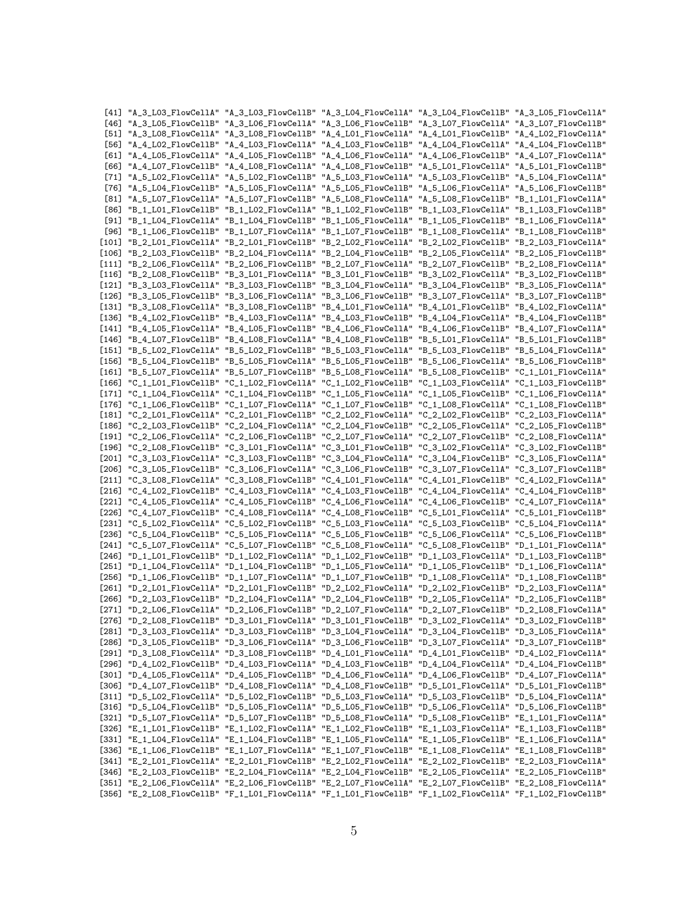|                  |  | [41] "A_3_LO3_FlowCellA" "A_3_LO3_FlowCellB" "A_3_LO4_FlowCellA" "A_3_LO4_FlowCellB" "A_3_LO5_FlowCellA"                                                                                                               |  |
|------------------|--|------------------------------------------------------------------------------------------------------------------------------------------------------------------------------------------------------------------------|--|
|                  |  | [46] "A_3_LO5_FlowCellB" "A_3_LO6_FlowCellA" "A_3_LO6_FlowCellB" "A_3_LO7_FlowCellA" "A_3_LO7_FlowCellB"                                                                                                               |  |
|                  |  | "A_3_L08_FlowCellA" "A_3_L08_FlowCellB" "A_4_L01_FlowCellA" "A_4_L01_FlowCellB" "A_4_L02_FlowCellA                                                                                                                     |  |
| [56]             |  | "A_4_LO2_FlowCellB" "A_4_LO3_FlowCellA" "A_4_LO3_FlowCellB" "A_4_LO4_FlowCellA" "A_4_LO4_FlowCellB"                                                                                                                    |  |
|                  |  | [61] "A_4_LO5_FlowCellA" "A_4_LO5_FlowCellB" "A_4_LO6_FlowCellA" "A_4_LO6_FlowCellB" "A_4_LO7_FlowCellA"                                                                                                               |  |
| [66]             |  | "A_4_LO7_FlowCellB" "A_4_LO8_FlowCellA" "A_4_LO8_FlowCellB" "A_5_LO1_FlowCellA" "A_5_LO1_FlowCellB"                                                                                                                    |  |
|                  |  | "A_5_L02_FlowCellA" "A_5_L02_FlowCellB" "A_5_L03_FlowCellA" "A_5_L03_FlowCellB" "A_5_L04_FlowCellA                                                                                                                     |  |
|                  |  | "A_5_LO4_FlowCellB" "A_5_LO5_FlowCellA" "A_5_LO5_FlowCellB" "A_5_LO6_FlowCellA" "A_5_LO6_FlowCellB                                                                                                                     |  |
| [81]             |  | "A_5_L07_FlowCellA" "A_5_L07_FlowCellB" "A_5_L08_FlowCellA" "A_5_L08_FlowCellB" "B_1_L01_FlowCellA"                                                                                                                    |  |
| [86]             |  | "B_1_L01_FlowCellB" "B_1_L02_FlowCellA" "B_1_L02_FlowCellB" "B_1_L03_FlowCellA" "B_1_L03_FlowCellB"                                                                                                                    |  |
| [91]             |  | "B_1_LO4_FlowCellA" "B_1_LO4_FlowCellB" "B_1_LO5_FlowCellA" "B_1_LO5_FlowCellB" "B_1_LO6_FlowCellA"                                                                                                                    |  |
|                  |  | [96] "B_1_L06_FlowCellB" "B_1_L07_FlowCellA" "B_1_L07_FlowCellB" "B_1_L08_FlowCellA" "B_1_L08_FlowCellB"                                                                                                               |  |
| $[101]$          |  | "B_2_L01_FlowCellA" "B_2_L01_FlowCellB" "B_2_L02_FlowCellA" "B_2_L02_FlowCellB" "B_2_L03_FlowCellA"                                                                                                                    |  |
|                  |  | [106] "B_2_L03_FlowCellB" "B_2_L04_FlowCellA" "B_2_L04_FlowCellB" "B_2_L05_FlowCellA" "B_2_L05_FlowCellB"                                                                                                              |  |
| $[111]$          |  | "B_2_L06_FlowCellA" "B_2_L06_FlowCellB" "B_2_L07_FlowCellA" "B_2_L07_FlowCellB" "B_2_L08_FlowCellA"                                                                                                                    |  |
| $[116]$          |  | "B_2_L08_FlowCellB" "B_3_L01_FlowCellA" "B_3_L01_FlowCellB" "B_3_L02_FlowCellA" "B_3_L02_FlowCellB"                                                                                                                    |  |
| $[126]$          |  | [121] "B_3_L03_FlowCellA" "B_3_L03_FlowCellB" "B_3_L04_FlowCellA" "B_3_L04_FlowCellB" "B_3_L05_FlowCellA"                                                                                                              |  |
|                  |  | "B_3_L05_FlowCellB" "B_3_L06_FlowCellA" "B_3_L06_FlowCellB" "B_3_L07_FlowCellA" "B_3_L07_FlowCellB"<br>[131] "B_3_L08_FlowCellA" "B_3_L08_FlowCellB" "B_4_L01_FlowCellA" "B_4_L01_FlowCellB" "B_4_L02_FlowCellA"       |  |
| $[136]$          |  | "B_4_LO2_FlowCellB" "B_4_LO3_FlowCellA" "B_4_LO3_FlowCellB" "B_4_LO4_FlowCellA" "B_4_LO4_FlowCellB"                                                                                                                    |  |
| [141]            |  | "B_4_LO5_FlowCellA" "B_4_LO5_FlowCellB" "B_4_LO6_FlowCellA" "B_4_LO6_FlowCellB" "B_4_LO7_FlowCellA"                                                                                                                    |  |
| [146]            |  | "B_4_LO7_FlowCellB" "B_4_LO8_FlowCellA" "B_4_LO8_FlowCellB" "B_5_LO1_FlowCellA" "B_5_LO1_FlowCellB"                                                                                                                    |  |
| $[151]$          |  | "B_5_LO2_FlowCellA" "B_5_LO2_FlowCellB" "B_5_LO3_FlowCellA" "B_5_LO3_FlowCellB" "B_5_LO4_FlowCellA"                                                                                                                    |  |
|                  |  | [156] "B_5_LO4_FlowCellB" "B_5_LO5_FlowCellA" "B_5_LO5_FlowCellB" "B_5_LO6_FlowCellA" "B_5_LO6_FlowCellB"                                                                                                              |  |
| $[161]$          |  | "B_5_L07_FlowCellA" "B_5_L07_FlowCellB" "B_5_L08_FlowCellA" "B_5_L08_FlowCellB" "C_1_L01_FlowCellA"                                                                                                                    |  |
| [166]            |  | "C_1_LO1_FlowCellB" "C_1_LO2_FlowCellA" "C_1_LO2_FlowCellB" "C_1_LO3_FlowCellA" "C_1_LO3_FlowCellB"                                                                                                                    |  |
| $[171]$          |  | "C_1_LO4_FlowCellA" "C_1_LO4_FlowCellB" "C_1_LO5_FlowCellA" "C_1_LO5_FlowCellB" "C_1_LO6_FlowCellA"                                                                                                                    |  |
|                  |  | [176] "C_1_L06_FlowCellB" "C_1_L07_FlowCellA" "C_1_L07_FlowCellB" "C_1_L08_FlowCellA" "C_1_L08_FlowCellB"                                                                                                              |  |
| $[181]$          |  | "C_2_L01_FlowCellA" "C_2_L01_FlowCellB" "C_2_L02_FlowCellA" "C_2_L02_FlowCellB" "C_2_L03_FlowCellA"                                                                                                                    |  |
| $[186]$          |  | "C_2_L03_FlowCellB" "C_2_L04_FlowCellA" "C_2_L04_FlowCellB" "C_2_L05_FlowCellA" "C_2_L05_FlowCellB"                                                                                                                    |  |
|                  |  | [191] "C_2_L06_FlowCellA" "C_2_L06_FlowCellB" "C_2_L07_FlowCellA" "C_2_L07_FlowCellB" "C_2_L08_FlowCellA"                                                                                                              |  |
| [196]            |  | "C_2_L08_FlowCellB" "C_3_L01_FlowCellA" "C_3_L01_FlowCellB" "C_3_L02_FlowCellA" "C_3_L02_FlowCellB"                                                                                                                    |  |
| $[201]$          |  | "C_3_LO3_FlowCellA" "C_3_LO3_FlowCellB" "C_3_LO4_FlowCellA" "C_3_LO4_FlowCellB" "C_3_LO5_FlowCellA"                                                                                                                    |  |
| [206]            |  | "C_3_L05_FlowCellB" "C_3_L06_FlowCellA" "C_3_L06_FlowCellB" "C_3_L07_FlowCellA" "C_3_L07_FlowCellB"                                                                                                                    |  |
| $[211]$          |  | "C_3_L08_FlowCellA" "C_3_L08_FlowCellB" "C_4_L01_FlowCellA" "C_4_L01_FlowCellB" "C_4_L02_FlowCellA"                                                                                                                    |  |
|                  |  | [216] "C_4_L02_FlowCellB" "C_4_L03_FlowCellA" "C_4_L03_FlowCellB" "C_4_L04_FlowCellA" "C_4_L04_FlowCellB"                                                                                                              |  |
| $[221]$          |  | "C_4_L05_FlowCellA" "C_4_L05_FlowCellB" "C_4_L06_FlowCellA" "C_4_L06_FlowCellB" "C_4_L07_FlowCellA"                                                                                                                    |  |
| [226]            |  | "C_4_LO7_FlowCellB" "C_4_LO8_FlowCellA" "C_4_LO8_FlowCellB" "C_5_LO1_FlowCellA" "C_5_LO1_FlowCellB"                                                                                                                    |  |
| $[231]$          |  | "C_5_LO2_FlowCellA" "C_5_LO2_FlowCellB" "C_5_LO3_FlowCellA" "C_5_LO3_FlowCellB" "C_5_LO4_FlowCellA"                                                                                                                    |  |
|                  |  | [236] "C_5_LO4_FlowCellB" "C_5_LO5_FlowCellA" "C_5_LO5_FlowCellB" "C_5_LO6_FlowCellA" "C_5_LO6_FlowCellB"                                                                                                              |  |
| $[241]$<br>[246] |  | "C_5_LO7_FlowCellA" "C_5_LO7_FlowCellB" "C_5_LO8_FlowCellA" "C_5_LO8_FlowCellB" "D_1_LO1_FlowCellA"<br>"D_1_L01_FlowCellB" "D_1_L02_FlowCellA" "D_1_L02_FlowCellB" "D_1_L03_FlowCellA" "D_1_L03_FlowCellB"             |  |
| $[251]$          |  | "D_1_LO4_FlowCellA" "D_1_LO4_FlowCellB" "D_1_LO5_FlowCellA" "D_1_LO5_FlowCellB" "D_1_LO6_FlowCellA"                                                                                                                    |  |
| $[256]$          |  | "D_1_L06_FlowCellB" "D_1_L07_FlowCellA" "D_1_L07_FlowCellB" "D_1_L08_FlowCellA" "D_1_L08_FlowCellB"                                                                                                                    |  |
|                  |  | [261] "D_2_L01_FlowCellA" "D_2_L01_FlowCellB" "D_2_L02_FlowCellA" "D_2_L02_FlowCellB" "D_2_L03_FlowCellA"                                                                                                              |  |
|                  |  | [266] "D_2_L03_FlowCellB" "D_2_L04_FlowCellA" "D_2_L04_FlowCellB" "D_2_L05_FlowCellA" "D_2_L05_FlowCellB"                                                                                                              |  |
|                  |  | [271] "D_2_L06_FlowCellA" "D_2_L06_FlowCellB" "D_2_L07_FlowCellA" "D_2_L07_FlowCellB" "D_2_L08_FlowCellA"                                                                                                              |  |
|                  |  | [276] "D_2_L08_FlowCellB" "D_3_L01_FlowCellA" "D_3_L01_FlowCellB" "D_3_L02_FlowCellA" "D_3_L02_FlowCellB"                                                                                                              |  |
|                  |  | [281] "D_3_L03_FlowCellA" "D_3_L03_FlowCellB" "D_3_L04_FlowCellA" "D_3_L04_FlowCellB" "D_3_L05_FlowCellA"                                                                                                              |  |
|                  |  | [286] "D_3_L05_FlowCellB" "D_3_L06_FlowCellA" "D_3_L06_FlowCellB" "D_3_L07_FlowCellA" "D_3_L07_FlowCellB"                                                                                                              |  |
|                  |  | [291] "D_3_L08_FlowCellA" "D_3_L08_FlowCellB" "D_4_L01_FlowCellA" "D_4_L01_FlowCellB" "D_4_L02_FlowCellA"                                                                                                              |  |
|                  |  | [296] "D_4_L02_FlowCellB" "D_4_L03_FlowCellA" "D_4_L03_FlowCellB" "D_4_L04_FlowCellA" "D_4_L04_FlowCellB"                                                                                                              |  |
|                  |  | [301] "D_4_L05_FlowCellA" "D_4_L05_FlowCellB" "D_4_L06_FlowCellA" "D_4_L06_FlowCellB" "D_4_L07_FlowCellA"                                                                                                              |  |
|                  |  | [306] "D_4_LO7_FlowCellB" "D_4_LO8_FlowCellA" "D_4_LO8_FlowCellB" "D_5_LO1_FlowCellA" "D_5_LO1_FlowCellB"                                                                                                              |  |
|                  |  | [311] "D_5_LO2_FlowCellA" "D_5_LO2_FlowCellB" "D_5_LO3_FlowCellA" "D_5_LO3_FlowCellB" "D_5_LO4_FlowCellA"                                                                                                              |  |
|                  |  | [316] "D_5_L04_FlowCellB" "D_5_L05_FlowCellA" "D_5_L05_FlowCellB" "D_5_L06_FlowCellA" "D_5_L06_FlowCellB"                                                                                                              |  |
|                  |  | [321] "D_5_LO7_FlowCellA" "D_5_LO7_FlowCellB" "D_5_LO8_FlowCellA" "D_5_LO8_FlowCellB" "E_1_LO1_FlowCellA"                                                                                                              |  |
|                  |  | [326] "E_1_L01_FlowCellB" "E_1_L02_FlowCellA" "E_1_L02_FlowCellB" "E_1_L03_FlowCellA" "E_1_L03_FlowCellB"                                                                                                              |  |
|                  |  | [331] "E_1_LO4_FlowCellA" "E_1_LO4_FlowCellB" "E_1_LO5_FlowCellA" "E_1_LO5_FlowCellB" "E_1_LO6_FlowCellA"                                                                                                              |  |
|                  |  | [336] "E_1_LO6_FlowCellB" "E_1_LO7_FlowCellA" "E_1_LO7_FlowCellB" "E_1_LO8_FlowCellA" "E_1_LO8_FlowCellB"                                                                                                              |  |
|                  |  | [341] "E_2_L01_FlowCellA" "E_2_L01_FlowCellB" "E_2_L02_FlowCellA" "E_2_L02_FlowCellB" "E_2_L03_FlowCellA"                                                                                                              |  |
|                  |  | [346] "E_2_L03_FlowCellB" "E_2_L04_FlowCellA" "E_2_L04_FlowCellB" "E_2_L05_FlowCellA" "E_2_L05_FlowCellB"<br>[351] "E_2_L06_FlowCellA" "E_2_L06_FlowCellB" "E_2_L07_FlowCellA" "E_2_L07_FlowCellB" "E_2_L08_FlowCellA" |  |
|                  |  | [356] "E_2_L08_FlowCellB" "F_1_L01_FlowCellA" "F_1_L01_FlowCellB" "F_1_L02_FlowCellA" "F_1_L02_FlowCellB"                                                                                                              |  |
|                  |  |                                                                                                                                                                                                                        |  |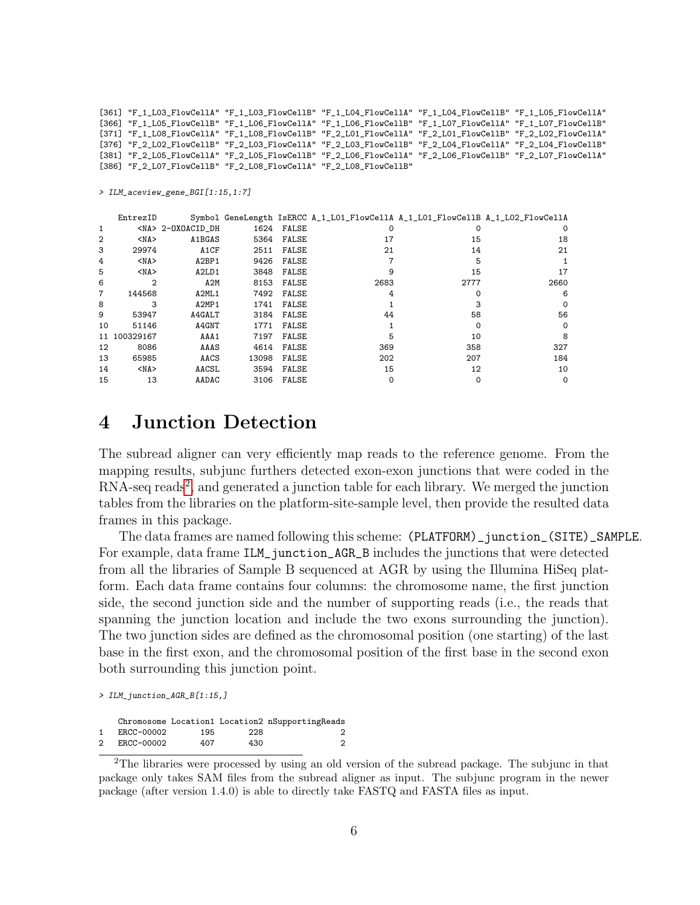[361] "F\_1\_L03\_FlowCellA" "F\_1\_L03\_FlowCellB" "F\_1\_L04\_FlowCellA" "F\_1\_L04\_FlowCellB" "F\_1\_L05\_FlowCellA" [366] "F\_1\_L05\_FlowCellB" "F\_1\_L06\_FlowCellA" "F\_1\_L06\_FlowCellB" "F\_1\_L07\_FlowCellA" "F\_1\_L07\_FlowCellB" [371] "F\_1\_L08\_FlowCellA" "F\_1\_L08\_FlowCellB" "F\_2\_L01\_FlowCellA" "F\_2\_L01\_FlowCellB" "F\_2\_L02\_FlowCellA" [376] "F\_2\_L02\_FlowCellB" "F\_2\_L03\_FlowCellA" "F\_2\_L03\_FlowCellB" "F\_2\_L04\_FlowCellA" "F\_2\_L04\_FlowCellB" [381] "F\_2\_L05\_FlowCellA" "F\_2\_L05\_FlowCellB" "F\_2\_L06\_FlowCellA" "F\_2\_L06\_FlowCellB" "F\_2\_L07\_FlowCellA" [386] "F\_2\_L07\_FlowCellB" "F\_2\_L08\_FlowCellA" "F\_2\_L08\_FlowCellB"

> ILM\_aceview\_gene\_BGI[1:15,1:7]

|                | EntrezID       |                                |       |       |          | Symbol GeneLength IsERCC A_1_L01_FlowCellA A_1_L01_FlowCellB A_1_L02_FlowCellA |          |
|----------------|----------------|--------------------------------|-------|-------|----------|--------------------------------------------------------------------------------|----------|
| $\mathbf{1}$   |                | <na> 2-OXOACID DH</na>         | 1624  | FALSE | $\Omega$ | ი                                                                              |          |
| $\overline{2}$ | $<$ NA $>$     | A1BGAS                         | 5364  | FALSE | 17       | 15                                                                             | 18       |
| 3              | 29974          | A <sub>1</sub> CF              | 2511  | FALSE | 21       | 14                                                                             | 21       |
| 4              | $<$ NA $>$     | A2BP1                          | 9426  | FALSE |          | 5                                                                              |          |
| 5              | $<$ NA $>$     | A <sub>2</sub> LD <sub>1</sub> | 3848  | FALSE | 9        | 15                                                                             | 17       |
| 6              | $\overline{2}$ | A2M                            | 8153  | FALSE | 2683     | 2777                                                                           | 2660     |
| 7              | 144568         | A2ML1                          | 7492  | FALSE |          |                                                                                | 6        |
| 8              | 3              | A2MP1                          | 1741  | FALSE |          |                                                                                | $\Omega$ |
| 9              | 53947          | A4GALT                         | 3184  | FALSE | 44       | 58                                                                             | 56       |
| 10             | 51146          | A4GNT                          | 1771  | FALSE |          | 0                                                                              | $\Omega$ |
| 11             | 100329167      | AAA1                           | 7197  | FALSE | 5        | 10                                                                             | 8        |
| 12             | 8086           | AAAS                           | 4614  | FALSE | 369      | 358                                                                            | 327      |
| 13             | 65985          | AACS                           | 13098 | FALSE | 202      | 207                                                                            | 184      |
| 14             | $<$ NA $>$     | AACSL                          | 3594  | FALSE | 15       | 12                                                                             | 10       |
| 15             | 13             | AADAC                          | 3106  | FALSE |          | 0                                                                              | $\Omega$ |

#### 4 Junction Detection

The subread aligner can very efficiently map reads to the reference genome. From the mapping results, subjunc furthers detected exon-exon junctions that were coded in the RNA-seq reads<sup>[2](#page-5-0)</sup>, and generated a junction table for each library. We merged the junction tables from the libraries on the platform-site-sample level, then provide the resulted data frames in this package.

The data frames are named following this scheme: (PLATFORM)\_junction\_(SITE)\_SAMPLE. For example, data frame ILM\_junction\_AGR\_B includes the junctions that were detected from all the libraries of Sample B sequenced at AGR by using the Illumina HiSeq platform. Each data frame contains four columns: the chromosome name, the first junction side, the second junction side and the number of supporting reads (i.e., the reads that spanning the junction location and include the two exons surrounding the junction). The two junction sides are defined as the chromosomal position (one starting) of the last base in the first exon, and the chromosomal position of the first base in the second exon both surrounding this junction point.

> ILM\_junction\_AGR\_B[1:15,]

|   |            |     |     | Chromosome Location1 Location2 nSupportingReads |
|---|------------|-----|-----|-------------------------------------------------|
|   | ERCC-00002 | 195 | 228 |                                                 |
| 2 | ERCC-00002 | 407 | 430 |                                                 |

<span id="page-5-0"></span><sup>&</sup>lt;sup>2</sup>The libraries were processed by using an old version of the subread package. The subjunc in that package only takes SAM files from the subread aligner as input. The subjunc program in the newer package (after version 1.4.0) is able to directly take FASTQ and FASTA files as input.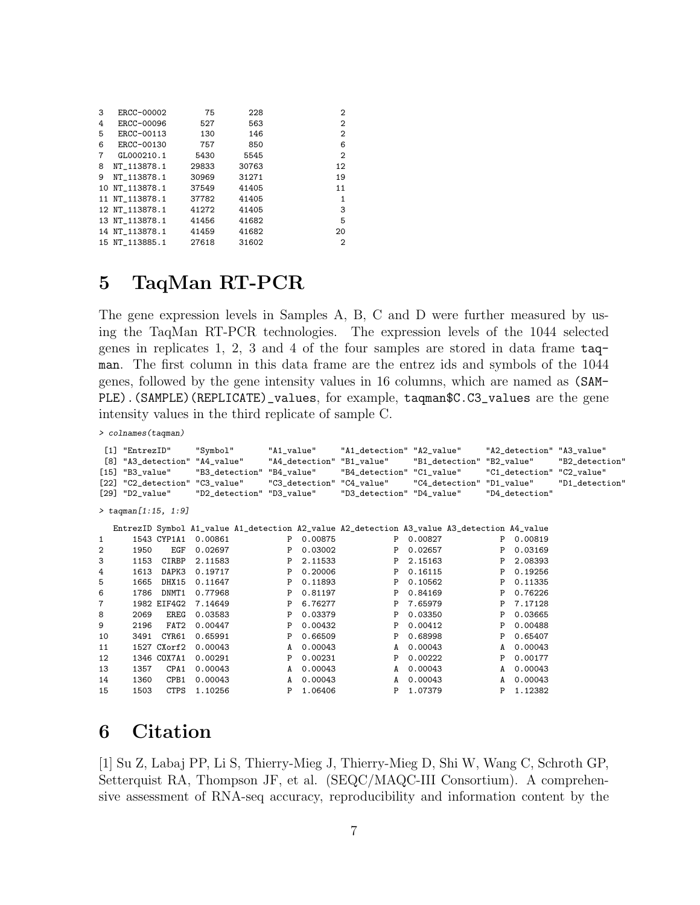| 3 | ERCC-00002     | 75    | 228   | 2              |
|---|----------------|-------|-------|----------------|
| 4 | ERCC-00096     | 527   | 563   | $\overline{2}$ |
| 5 | ERCC-00113     | 130   | 146   | $\overline{2}$ |
| 6 | ERCC-00130     | 757   | 850   | 6              |
| 7 | GL000210.1     | 5430  | 5545  | $\overline{2}$ |
| 8 | NT 113878.1    | 29833 | 30763 | 12             |
| 9 | NT 113878.1    | 30969 | 31271 | 19             |
|   | 10 NT 113878.1 | 37549 | 41405 | 11             |
|   | 11 NT 113878.1 | 37782 | 41405 | 1              |
|   | 12 NT_113878.1 | 41272 | 41405 | 3              |
|   | 13 NT 113878.1 | 41456 | 41682 | 5              |
|   | 14 NT 113878.1 | 41459 | 41682 | 20             |
|   | 15 NT_113885.1 | 27618 | 31602 | $\overline{2}$ |

#### 5 TaqMan RT-PCR

The gene expression levels in Samples A, B, C and D were further measured by using the TaqMan RT-PCR technologies. The expression levels of the 1044 selected genes in replicates 1, 2, 3 and 4 of the four samples are stored in data frame taqman. The first column in this data frame are the entrez ids and symbols of the 1044 genes, followed by the gene intensity values in 16 columns, which are named as (SAM-PLE). (SAMPLE) (REPLICATE)\_values, for example, taqman\$C.C3\_values are the gene intensity values in the third replicate of sample C.

> colnames(taqman)

| [8]<br>$[15]$<br>[22] | [1] "EntrezID"<br>"A3_detection" "A4_value"<br>"B3_value"<br>"C2_detection" "C3_value"<br>$[29]$ "D2_value"<br>$>$ tagman $[1:15, 1:9]$ |             | "Symbol" | "B3_detection" "B4_value"<br>"D2_detection" "D3_value" | "A1_value" | "A4_detection" | "A1_detection" "A2_value"<br>"B1_value"<br>"B4_detection" "C1_value"<br>"C3_detection" "C4_value"<br>"D3_detection" "D4_value" |         | "B1_detection" "B2_value"<br>"C4_detection" "D1_value" |   | "D4_detection" | "A2_detection" "A3_value"<br>"B2_detection"<br>"C1_detection" "C2_value"<br>"D1_detection" |  |
|-----------------------|-----------------------------------------------------------------------------------------------------------------------------------------|-------------|----------|--------------------------------------------------------|------------|----------------|--------------------------------------------------------------------------------------------------------------------------------|---------|--------------------------------------------------------|---|----------------|--------------------------------------------------------------------------------------------|--|
|                       |                                                                                                                                         |             |          |                                                        |            |                |                                                                                                                                |         |                                                        |   |                |                                                                                            |  |
|                       |                                                                                                                                         |             |          |                                                        |            |                | EntrezID Symbol A1_value A1_detection A2_value A2_detection A3_value A3_detection A4_value                                     |         |                                                        |   |                |                                                                                            |  |
| 1                     | 1543 CYP1A1                                                                                                                             |             | 0.00861  |                                                        | P          | 0.00875        | P                                                                                                                              | 0.00827 |                                                        | P | 0.00819        |                                                                                            |  |
| 2                     | 1950                                                                                                                                    | EGF         | 0.02697  |                                                        | P          | 0.03002        | P                                                                                                                              | 0.02657 |                                                        | P | 0.03169        |                                                                                            |  |
| 3                     | 1153                                                                                                                                    | CIRBP       | 2.11583  |                                                        | P          | 2.11533        | P                                                                                                                              | 2.15163 |                                                        | P | 2.08393        |                                                                                            |  |
| 4                     | 1613                                                                                                                                    | DAPK3       | 0.19717  |                                                        | P          | 0.20006        | P                                                                                                                              | 0.16115 |                                                        | P | 0.19256        |                                                                                            |  |
| 5                     | 1665                                                                                                                                    | DHX15       | 0.11647  |                                                        | P          | 0.11893        | P                                                                                                                              | 0.10562 |                                                        | P | 0.11335        |                                                                                            |  |
| 6                     | 1786                                                                                                                                    | DNMT1       | 0.77968  |                                                        | P          | 0.81197        | P                                                                                                                              | 0.84169 |                                                        | P | 0.76226        |                                                                                            |  |
| 7                     | 1982 EIF4G2                                                                                                                             |             | 7.14649  |                                                        | P          | 6.76277        | P                                                                                                                              | 7.65979 |                                                        | P | 7.17128        |                                                                                            |  |
| 8                     | 2069                                                                                                                                    | EREG        | 0.03583  |                                                        | P          | 0.03379        | P                                                                                                                              | 0.03350 |                                                        | P | 0.03665        |                                                                                            |  |
| 9                     | 2196                                                                                                                                    | FAT2        | 0.00447  |                                                        | P          | 0.00432        | P                                                                                                                              | 0.00412 |                                                        | P | 0.00488        |                                                                                            |  |
| 10                    | 3491                                                                                                                                    | CYR61       | 0.65991  |                                                        | P          | 0.66509        | P                                                                                                                              | 0.68998 |                                                        | P | 0.65407        |                                                                                            |  |
| 11                    | 1527 CXorf2                                                                                                                             |             | 0.00043  |                                                        | A          | 0.00043        | A                                                                                                                              | 0.00043 |                                                        | A | 0.00043        |                                                                                            |  |
| 12                    | 1346 COX7A1                                                                                                                             |             | 0.00291  |                                                        | P          | 0.00231        | Ρ                                                                                                                              | 0.00222 |                                                        | P | 0.00177        |                                                                                            |  |
| 13                    | 1357                                                                                                                                    | CPA1        | 0.00043  |                                                        | A          | 0.00043        | A                                                                                                                              | 0.00043 |                                                        | A | 0.00043        |                                                                                            |  |
| 14                    | 1360                                                                                                                                    | CPB1        | 0.00043  |                                                        | A          | 0.00043        | A                                                                                                                              | 0.00043 |                                                        | A | 0.00043        |                                                                                            |  |
| 15                    | 1503                                                                                                                                    | <b>CTPS</b> | 1.10256  |                                                        | P          | 1.06406        | P                                                                                                                              | 1.07379 |                                                        | P | 1.12382        |                                                                                            |  |

### 6 Citation

[1] Su Z, Labaj PP, Li S, Thierry-Mieg J, Thierry-Mieg D, Shi W, Wang C, Schroth GP, Setterquist RA, Thompson JF, et al. (SEQC/MAQC-III Consortium). A comprehensive assessment of RNA-seq accuracy, reproducibility and information content by the